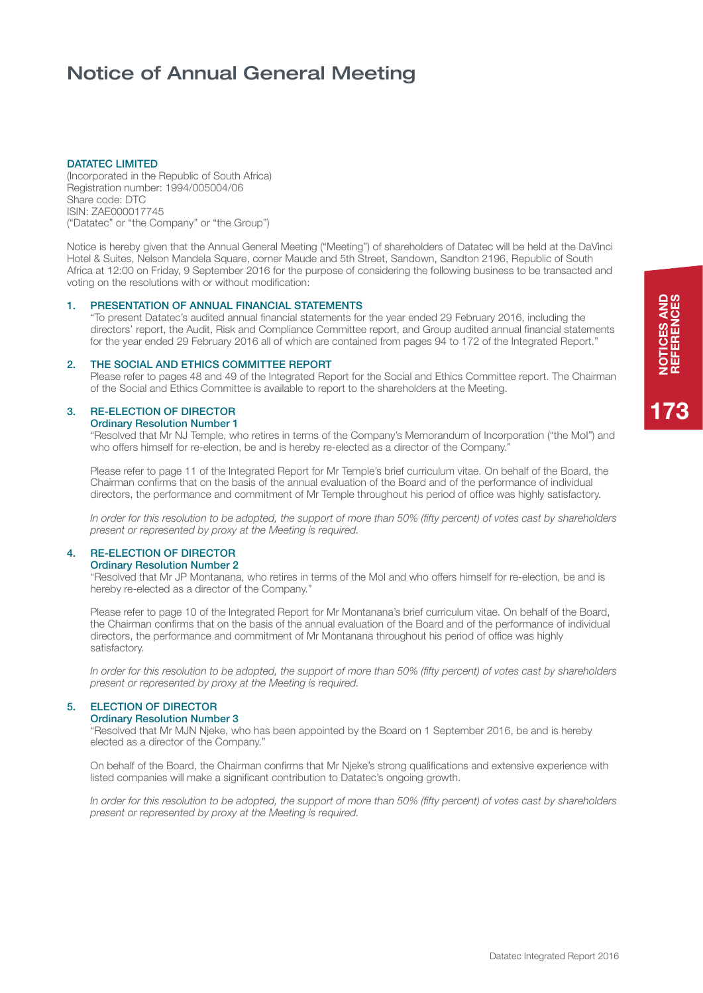# Notice of Annual General Meeting

## DATATEC LIMITED

(Incorporated in the Republic of South Africa) Registration number: 1994/005004/06 Share code: DTC ISIN: ZAE000017745 ("Datatec" or "the Company" or "the Group")

Notice is hereby given that the Annual General Meeting ("Meeting") of shareholders of Datatec will be held at the DaVinci Hotel & Suites, Nelson Mandela Square, corner Maude and 5th Street, Sandown, Sandton 2196, Republic of South Africa at 12:00 on Friday, 9 September 2016 for the purpose of considering the following business to be transacted and voting on the resolutions with or without modification:

# 1. PRESENTATION OF ANNUAL FINANCIAL STATEMENTS

"To present Datatec's audited annual financial statements for the year ended 29 February 2016, including the directors' report, the Audit, Risk and Compliance Committee report, and Group audited annual financial statements for the year ended 29 February 2016 all of which are contained from pages 94 to 172 of the Integrated Report."

# 2. THE SOCIAL AND ETHICS COMMITTEE REPORT

Please refer to pages 48 and 49 of the Integrated Report for the Social and Ethics Committee report. The Chairman of the Social and Ethics Committee is available to report to the shareholders at the Meeting.

# 3. RE-ELECTION OF DIRECTOR

Ordinary Resolution Number 1

"Resolved that Mr NJ Temple, who retires in terms of the Company's Memorandum of Incorporation ("the MoI") and who offers himself for re-election, be and is hereby re-elected as a director of the Company."

Please refer to page 11 of the Integrated Report for Mr Temple's brief curriculum vitae. On behalf of the Board, the Chairman confirms that on the basis of the annual evaluation of the Board and of the performance of individual directors, the performance and commitment of Mr Temple throughout his period of office was highly satisfactory.

*In order for this resolution to be adopted, the support of more than 50% (fifty percent) of votes cast by shareholders present or represented by proxy at the Meeting is required.*

# 4. RE-ELECTION OF DIRECTOR

Ordinary Resolution Number 2

"Resolved that Mr JP Montanana, who retires in terms of the MoI and who offers himself for re-election, be and is hereby re-elected as a director of the Company."

Please refer to page 10 of the Integrated Report for Mr Montanana's brief curriculum vitae. On behalf of the Board, the Chairman confirms that on the basis of the annual evaluation of the Board and of the performance of individual directors, the performance and commitment of Mr Montanana throughout his period of office was highly satisfactory.

*In order for this resolution to be adopted, the support of more than 50% (fifty percent) of votes cast by shareholders present or represented by proxy at the Meeting is required.*

# 5. ELECTION OF DIRECTOR

# Ordinary Resolution Number 3

"Resolved that Mr MJN Njeke, who has been appointed by the Board on 1 September 2016, be and is hereby elected as a director of the Company."

On behalf of the Board, the Chairman confirms that Mr Njeke's strong qualifications and extensive experience with listed companies will make a significant contribution to Datatec's ongoing growth.

*In order for this resolution to be adopted, the support of more than 50% (fifty percent) of votes cast by shareholders present or represented by proxy at the Meeting is required.*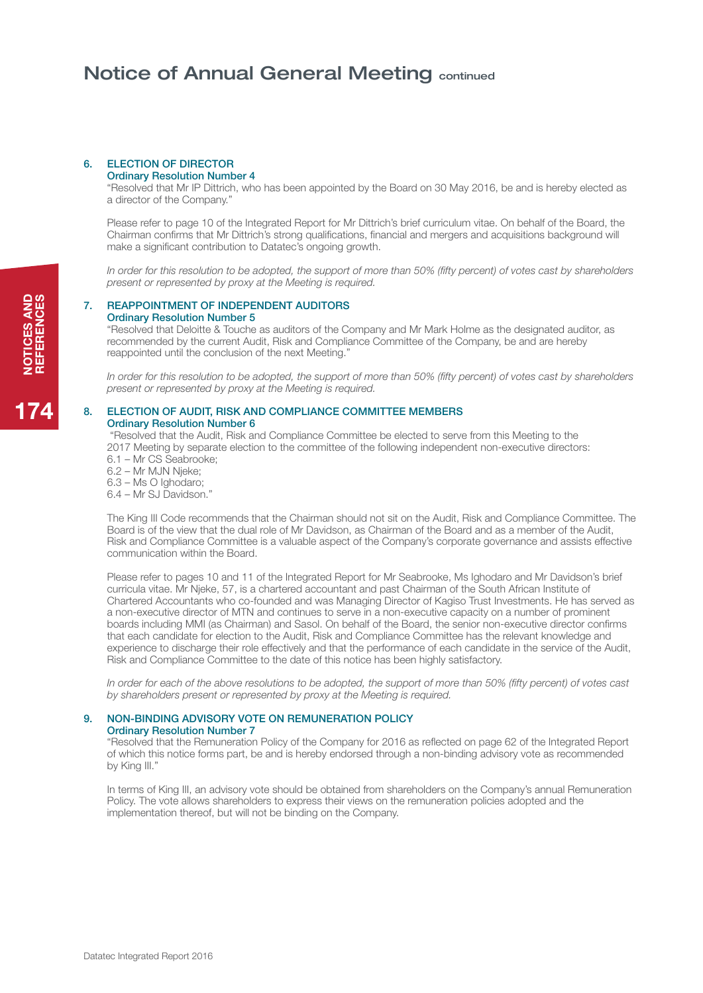# Notice of Annual General Meeting continued

#### 6. ELECTION OF DIRECTOR Ordinary Resolution Number 4

"Resolved that Mr IP Dittrich, who has been appointed by the Board on 30 May 2016, be and is hereby elected as a director of the Company."

Please refer to page 10 of the Integrated Report for Mr Dittrich's brief curriculum vitae. On behalf of the Board, the Chairman confirms that Mr Dittrich's strong qualifications, financial and mergers and acquisitions background will make a significant contribution to Datatec's ongoing growth.

*In order for this resolution to be adopted, the support of more than 50% (fifty percent) of votes cast by shareholders present or represented by proxy at the Meeting is required.*

### 7. REAPPOINTMENT OF INDEPENDENT AUDITORS Ordinary Resolution Number 5

"Resolved that Deloitte & Touche as auditors of the Company and Mr Mark Holme as the designated auditor, as recommended by the current Audit, Risk and Compliance Committee of the Company, be and are hereby reappointed until the conclusion of the next Meeting."

*In order for this resolution to be adopted, the support of more than 50% (fifty percent) of votes cast by shareholders present or represented by proxy at the Meeting is required.*

## 8. ELECTION OF AUDIT, RISK AND COMPLIANCE COMMITTEE MEMBERS Ordinary Resolution Number 6

 "Resolved that the Audit, Risk and Compliance Committee be elected to serve from this Meeting to the 2017 Meeting by separate election to the committee of the following independent non-executive directors:

6.1 – Mr CS Seabrooke;

6.2 – Mr MJN Njeke;

6.3 – Ms O Ighodaro;

6.4 – Mr SJ Davidson."

The King III Code recommends that the Chairman should not sit on the Audit, Risk and Compliance Committee. The Board is of the view that the dual role of Mr Davidson, as Chairman of the Board and as a member of the Audit, Risk and Compliance Committee is a valuable aspect of the Company's corporate governance and assists effective communication within the Board.

Please refer to pages 10 and 11 of the Integrated Report for Mr Seabrooke, Ms Ighodaro and Mr Davidson's brief curricula vitae. Mr Njeke, 57, is a chartered accountant and past Chairman of the South African Institute of Chartered Accountants who co-founded and was Managing Director of Kagiso Trust Investments. He has served as a non-executive director of MTN and continues to serve in a non-executive capacity on a number of prominent boards including MMI (as Chairman) and Sasol. On behalf of the Board, the senior non-executive director confirms that each candidate for election to the Audit, Risk and Compliance Committee has the relevant knowledge and experience to discharge their role effectively and that the performance of each candidate in the service of the Audit, Risk and Compliance Committee to the date of this notice has been highly satisfactory.

*In order for each of the above resolutions to be adopted, the support of more than 50% (fifty percent) of votes cast by shareholders present or represented by proxy at the Meeting is required.*

## 9. NON-BINDING ADVISORY VOTE ON REMUNERATION POLICY Ordinary Resolution Number 7

"Resolved that the Remuneration Policy of the Company for 2016 as reflected on page 62 of the Integrated Report of which this notice forms part, be and is hereby endorsed through a non-binding advisory vote as recommended by King III."

In terms of King III, an advisory vote should be obtained from shareholders on the Company's annual Remuneration Policy. The vote allows shareholders to express their views on the remuneration policies adopted and the implementation thereof, but will not be binding on the Company.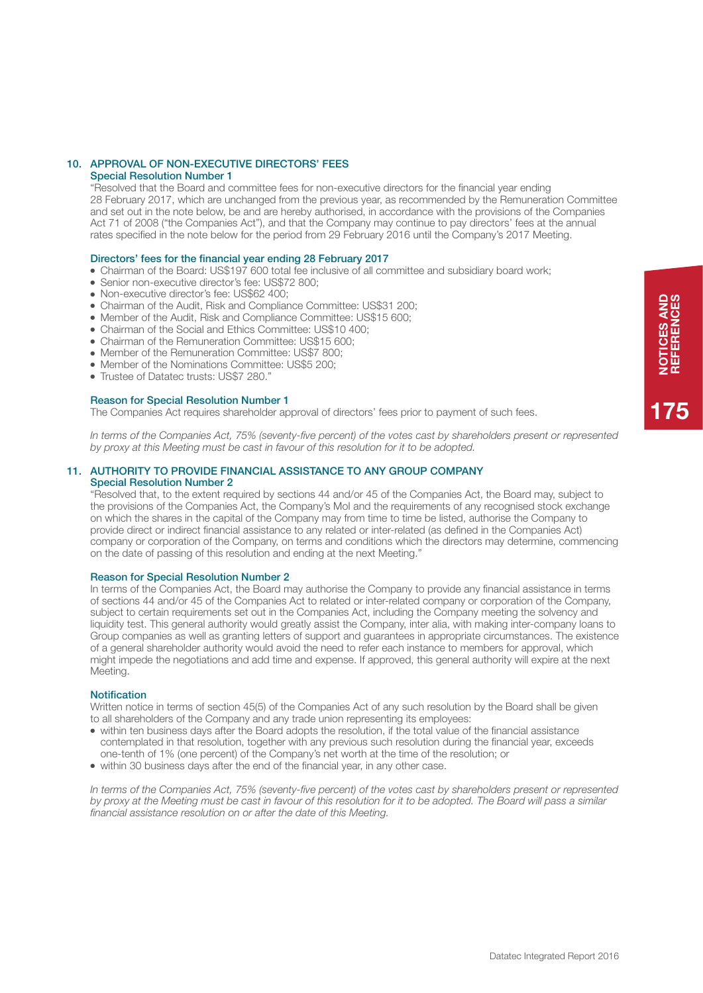# 10. APPROVAL OF NON-EXECUTIVE DIRECTORS' FEES

# Special Resolution Number 1

"Resolved that the Board and committee fees for non-executive directors for the financial year ending 28 February 2017, which are unchanged from the previous year, as recommended by the Remuneration Committee and set out in the note below, be and are hereby authorised, in accordance with the provisions of the Companies Act 71 of 2008 ("the Companies Act"), and that the Company may continue to pay directors' fees at the annual rates specified in the note below for the period from 29 February 2016 until the Company's 2017 Meeting.

## Directors' fees for the financial year ending 28 February 2017

- Chairman of the Board: US\$197 600 total fee inclusive of all committee and subsidiary board work;
- Senior non-executive director's fee: US\$72 800;
- Non-executive director's fee: US\$62 400;
- Chairman of the Audit, Risk and Compliance Committee: US\$31 200;
- Member of the Audit, Risk and Compliance Committee: US\$15 600;
- Chairman of the Social and Ethics Committee: US\$10 400;
- Chairman of the Remuneration Committee: US\$15 600;
- Member of the Remuneration Committee: US\$7 800;
- Member of the Nominations Committee: US\$5 200:
- Trustee of Datatec trusts: US\$7 280."

### Reason for Special Resolution Number 1

The Companies Act requires shareholder approval of directors' fees prior to payment of such fees.

*In terms of the Companies Act, 75% (seventy-five percent) of the votes cast by shareholders present or represented by proxy at this Meeting must be cast in favour of this resolution for it to be adopted.*

## 11. AUTHORITY TO PROVIDE FINANCIAL ASSISTANCE TO ANY GROUP COMPANY Special Resolution Number 2

"Resolved that, to the extent required by sections 44 and/or 45 of the Companies Act, the Board may, subject to the provisions of the Companies Act, the Company's MoI and the requirements of any recognised stock exchange on which the shares in the capital of the Company may from time to time be listed, authorise the Company to provide direct or indirect financial assistance to any related or inter-related (as defined in the Companies Act) company or corporation of the Company, on terms and conditions which the directors may determine, commencing on the date of passing of this resolution and ending at the next Meeting."

#### Reason for Special Resolution Number 2

In terms of the Companies Act, the Board may authorise the Company to provide any financial assistance in terms of sections 44 and/or 45 of the Companies Act to related or inter-related company or corporation of the Company, subject to certain requirements set out in the Companies Act, including the Company meeting the solvency and liquidity test. This general authority would greatly assist the Company, inter alia, with making inter-company loans to Group companies as well as granting letters of support and guarantees in appropriate circumstances. The existence of a general shareholder authority would avoid the need to refer each instance to members for approval, which might impede the negotiations and add time and expense. If approved, this general authority will expire at the next Meeting.

#### **Notification**

Written notice in terms of section 45(5) of the Companies Act of any such resolution by the Board shall be given to all shareholders of the Company and any trade union representing its employees:

- within ten business days after the Board adopts the resolution, if the total value of the financial assistance contemplated in that resolution, together with any previous such resolution during the financial year, exceeds one-tenth of 1% (one percent) of the Company's net worth at the time of the resolution; or
- within 30 business days after the end of the financial year, in any other case.

*In terms of the Companies Act, 75% (seventy-five percent) of the votes cast by shareholders present or represented by proxy at the Meeting must be cast in favour of this resolution for it to be adopted. The Board will pass a similar financial assistance resolution on or after the date of this Meeting.*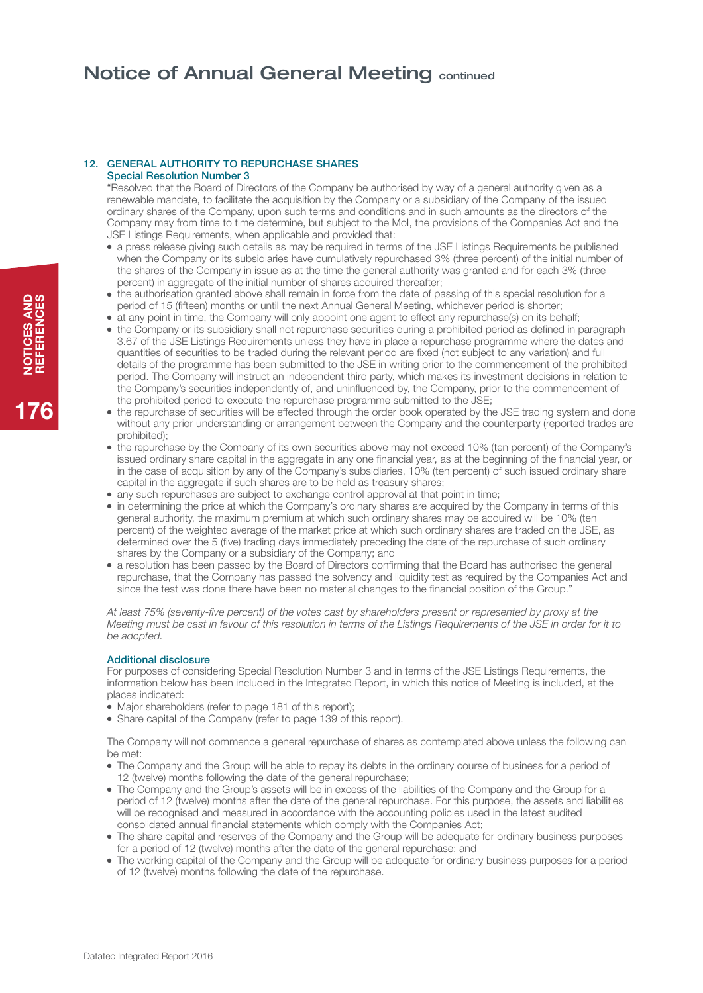# Notice of Annual General Meeting continued

#### 12. GENERAL AUTHORITY TO REPURCHASE SHARES Special Resolution Number 3

"Resolved that the Board of Directors of the Company be authorised by way of a general authority given as a renewable mandate, to facilitate the acquisition by the Company or a subsidiary of the Company of the issued ordinary shares of the Company, upon such terms and conditions and in such amounts as the directors of the Company may from time to time determine, but subject to the MoI, the provisions of the Companies Act and the JSE Listings Requirements, when applicable and provided that:

- a press release giving such details as may be required in terms of the JSE Listings Requirements be published when the Company or its subsidiaries have cumulatively repurchased 3% (three percent) of the initial number of the shares of the Company in issue as at the time the general authority was granted and for each 3% (three percent) in aggregate of the initial number of shares acquired thereafter:
- the authorisation granted above shall remain in force from the date of passing of this special resolution for a period of 15 (fifteen) months or until the next Annual General Meeting, whichever period is shorter;
- at any point in time, the Company will only appoint one agent to effect any repurchase(s) on its behalf;
- the Company or its subsidiary shall not repurchase securities during a prohibited period as defined in paragraph 3.67 of the JSE Listings Requirements unless they have in place a repurchase programme where the dates and quantities of securities to be traded during the relevant period are fixed (not subject to any variation) and full details of the programme has been submitted to the JSE in writing prior to the commencement of the prohibited period. The Company will instruct an independent third party, which makes its investment decisions in relation to the Company's securities independently of, and uninfluenced by, the Company, prior to the commencement of the prohibited period to execute the repurchase programme submitted to the JSE;
- the repurchase of securities will be effected through the order book operated by the JSE trading system and done without any prior understanding or arrangement between the Company and the counterparty (reported trades are prohibited);
- the repurchase by the Company of its own securities above may not exceed 10% (ten percent) of the Company's issued ordinary share capital in the aggregate in any one financial year, as at the beginning of the financial year, or in the case of acquisition by any of the Company's subsidiaries, 10% (ten percent) of such issued ordinary share capital in the aggregate if such shares are to be held as treasury shares;
- any such repurchases are subject to exchange control approval at that point in time;
- in determining the price at which the Company's ordinary shares are acquired by the Company in terms of this general authority, the maximum premium at which such ordinary shares may be acquired will be 10% (ten percent) of the weighted average of the market price at which such ordinary shares are traded on the JSE, as determined over the 5 (five) trading days immediately preceding the date of the repurchase of such ordinary shares by the Company or a subsidiary of the Company; and
- a resolution has been passed by the Board of Directors confirming that the Board has authorised the general repurchase, that the Company has passed the solvency and liquidity test as required by the Companies Act and since the test was done there have been no material changes to the financial position of the Group."

*At least 75% (seventy-five percent) of the votes cast by shareholders present or represented by proxy at the Meeting must be cast in favour of this resolution in terms of the Listings Requirements of the JSE in order for it to be adopted.*

## Additional disclosure

For purposes of considering Special Resolution Number 3 and in terms of the JSE Listings Requirements, the information below has been included in the Integrated Report, in which this notice of Meeting is included, at the places indicated:

- Major shareholders (refer to page 181 of this report);
- Share capital of the Company (refer to page 139 of this report).

The Company will not commence a general repurchase of shares as contemplated above unless the following can be met:

- The Company and the Group will be able to repay its debts in the ordinary course of business for a period of 12 (twelve) months following the date of the general repurchase;
- The Company and the Group's assets will be in excess of the liabilities of the Company and the Group for a period of 12 (twelve) months after the date of the general repurchase. For this purpose, the assets and liabilities will be recognised and measured in accordance with the accounting policies used in the latest audited consolidated annual financial statements which comply with the Companies Act;
- The share capital and reserves of the Company and the Group will be adequate for ordinary business purposes for a period of 12 (twelve) months after the date of the general repurchase; and
- The working capital of the Company and the Group will be adequate for ordinary business purposes for a period of 12 (twelve) months following the date of the repurchase.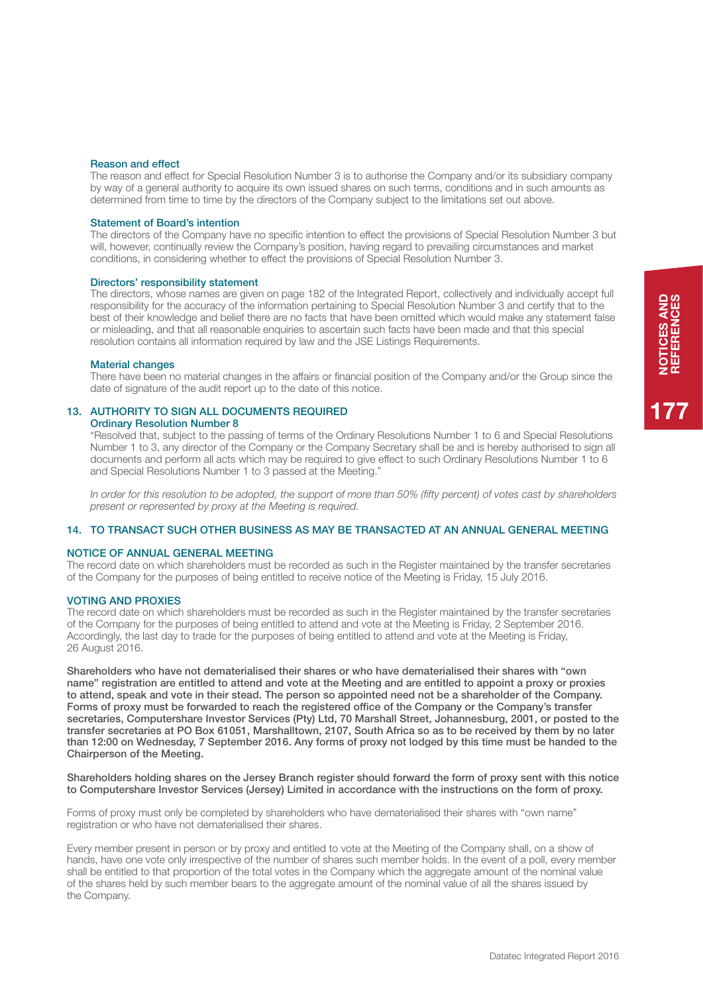#### Reason and effect

The reason and effect for Special Resolution Number 3 is to authorise the Company and/or its subsidiary company by way of a general authority to acquire its own issued shares on such terms, conditions and in such amounts as determined from time to time by the directors of the Company subject to the limitations set out above.

### Statement of Board's intention

The directors of the Company have no specific intention to effect the provisions of Special Resolution Number 3 but will, however, continually review the Company's position, having regard to prevailing circumstances and market conditions, in considering whether to effect the provisions of Special Resolution Number 3.

### Directors' responsibility statement

The directors, whose names are given on page 182 of the Integrated Report, collectively and individually accept full responsibility for the accuracy of the information pertaining to Special Resolution Number 3 and certify that to the best of their knowledge and belief there are no facts that have been omitted which would make any statement false or misleading, and that all reasonable enquiries to ascertain such facts have been made and that this special resolution contains all information required by law and the JSE Listings Requirements.

#### Material changes

There have been no material changes in the affairs or financial position of the Company and/or the Group since the date of signature of the audit report up to the date of this notice.

### 13. AUTHORITY TO SIGN ALL DOCUMENTS REQUIRED Ordinary Resolution Number 8

"Resolved that, subject to the passing of terms of the Ordinary Resolutions Number 1 to 6 and Special Resolutions Number 1 to 3, any director of the Company or the Company Secretary shall be and is hereby authorised to sign all documents and perform all acts which may be required to give effect to such Ordinary Resolutions Number 1 to 6 and Special Resolutions Number 1 to 3 passed at the Meeting."

*In order for this resolution to be adopted, the support of more than 50% (fifty percent) of votes cast by shareholders present or represented by proxy at the Meeting is required.*

## 14. TO TRANSACT SUCH OTHER BUSINESS AS MAY BE TRANSACTED AT AN ANNUAL GENERAL MEETING

#### Notice of annual general meeting

The record date on which shareholders must be recorded as such in the Register maintained by the transfer secretaries of the Company for the purposes of being entitled to receive notice of the Meeting is Friday, 15 July 2016.

## **VOTING AND PROXIES**

The record date on which shareholders must be recorded as such in the Register maintained by the transfer secretaries of the Company for the purposes of being entitled to attend and vote at the Meeting is Friday, 2 September 2016. Accordingly, the last day to trade for the purposes of being entitled to attend and vote at the Meeting is Friday, 26 August 2016.

Shareholders who have not dematerialised their shares or who have dematerialised their shares with "own name" registration are entitled to attend and vote at the Meeting and are entitled to appoint a proxy or proxies to attend, speak and vote in their stead. The person so appointed need not be a shareholder of the Company. Forms of proxy must be forwarded to reach the registered office of the Company or the Company's transfer secretaries, Computershare Investor Services (Pty) Ltd, 70 Marshall Street, Johannesburg, 2001, or posted to the transfer secretaries at PO Box 61051, Marshalltown, 2107, South Africa so as to be received by them by no later than 12:00 on Wednesday, 7 September 2016. Any forms of proxy not lodged by this time must be handed to the Chairperson of the Meeting.

Shareholders holding shares on the Jersey Branch register should forward the form of proxy sent with this notice to Computershare Investor Services (Jersey) Limited in accordance with the instructions on the form of proxy.

Forms of proxy must only be completed by shareholders who have dematerialised their shares with "own name" registration or who have not dematerialised their shares.

Every member present in person or by proxy and entitled to vote at the Meeting of the Company shall, on a show of hands, have one vote only irrespective of the number of shares such member holds. In the event of a poll, every member shall be entitled to that proportion of the total votes in the Company which the aggregate amount of the nominal value of the shares held by such member bears to the aggregate amount of the nominal value of all the shares issued by the Company.